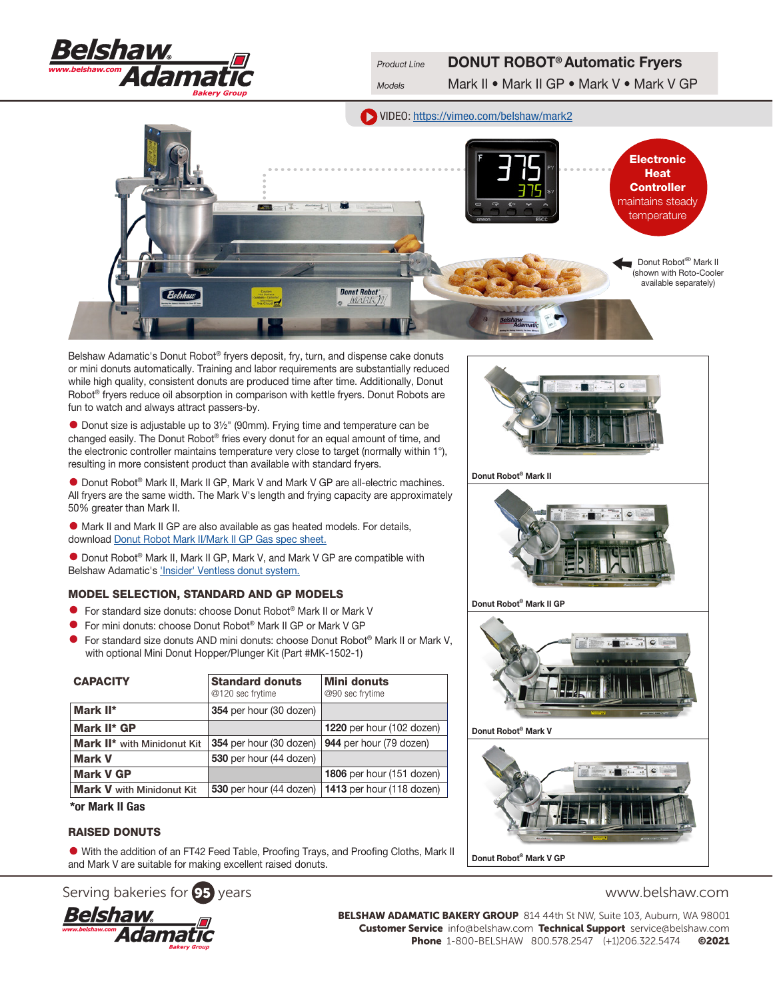

Product Line DONUT ROBOT<sup>®</sup> Automatic Fryers

Models Mark II • Mark II GP • Mark V • Mark V GP

VIDEO: <https://vimeo.com/belshaw/mark2>



Belshaw Adamatic's Donut Robot® fryers deposit, fry, turn, and dispense cake donuts or mini donuts automatically. Training and labor requirements are substantially reduced while high quality, consistent donuts are produced time after time. Additionally, Donut Robot<sup>®</sup> fryers reduce oil absorption in comparison with kettle fryers. Donut Robots are fun to watch and always attract passers-by.

• Donut size is adjustable up to 3½" (90mm). Frying time and temperature can be changed easily. The Donut Robot® fries every donut for an equal amount of time, and the electronic controller maintains temperature very close to target (normally within 1°), resulting in more consistent product than available with standard fryers.

• Donut Robot® Mark II, Mark II GP, Mark V and Mark V GP are all-electric machines. All fryers are the same width. The Mark V's length and frying capacity are approximately 50% greater than Mark II.

• Mark II and Mark II GP are also available as gas heated models. For details, download [Donut Robot Mark II/Mark II GP Gas](http://www.belshaw-adamatic.com/uploads/pdf/Belshaw-Adamatic-Donut-Robot-Mark2-Gas.pdf) spec sheet.

• Donut Robot® Mark II, Mark II GP, Mark V, and Mark V GP are compatible with Belshaw Adamatic's ['Insider' Ventless donut system.](http://www.belshaw-adamatic.com/catalog/retail-equipment/insider-ventless-cabinet)

## MODEL SELECTION, STANDARD AND GP MODELS

- For standard size donuts: choose Donut Robot® Mark II or Mark V
- For mini donuts: choose Donut Robot® Mark II GP or Mark V GP
- For standard size donuts AND mini donuts: choose Donut Robot® Mark II or Mark V, with optional Mini Donut Hopper/Plunger Kit (Part #MK-1502-1)

| <b>CAPACITY</b>                    | <b>Standard donuts</b><br>@120 sec frytime | <b>Mini donuts</b><br>@90 sec frytime               |
|------------------------------------|--------------------------------------------|-----------------------------------------------------|
| Mark II*                           | 354 per hour (30 dozen)                    |                                                     |
| Mark II* GP                        |                                            | 1220 per hour (102 dozen)                           |
| <b>Mark II*</b> with Minidonut Kit | 354 per hour (30 dozen)                    | 944 per hour (79 dozen)                             |
| <b>Mark V</b>                      | 530 per hour (44 dozen)                    |                                                     |
| <b>Mark V GP</b>                   |                                            | 1806 per hour (151 dozen)                           |
| <b>Mark V</b> with Minidonut Kit   |                                            | 530 per hour (44 dozen)   1413 per hour (118 dozen) |

## \*or Mark II Gas

# RAISED DONUTS

• With the addition of an FT42 Feed Table, Proofing Trays, and Proofing Cloths, Mark II and Mark V are suitable for making excellent raised donuts.





Donut Robot® Mark II



Donut Robot® Mark II GP



Donut Robot® Mark V





BELSHAW ADAMATIC BAKERY GROUP 814 44th St NW, Suite 103, Auburn, WA 98001 Customer Service info@belshaw.com Technical Support service@belshaw.com Phone 1-800-BELSHAW 800.578.2547 (+1)206.322.5474 ©2021